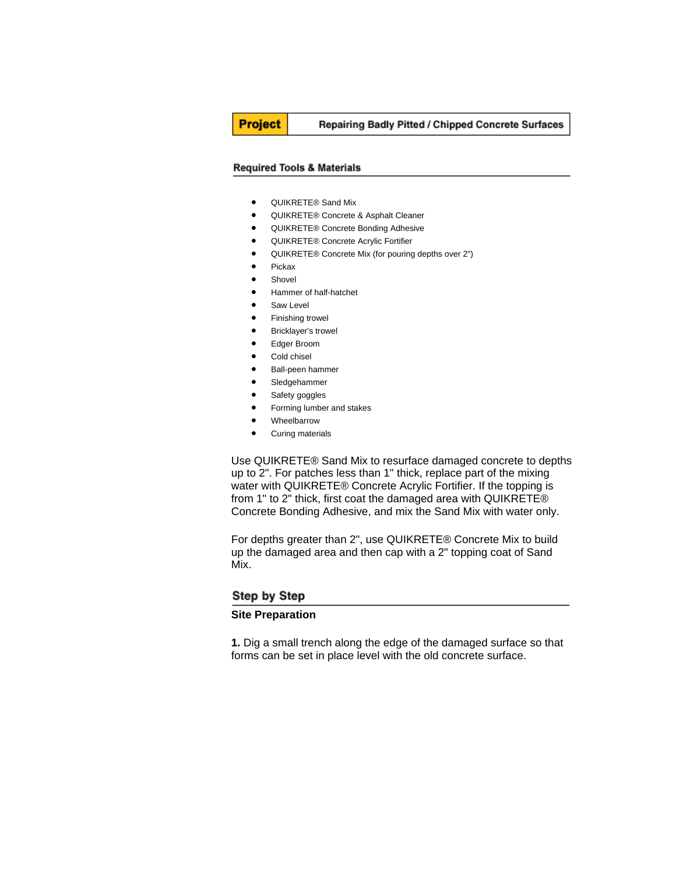# **Project**

#### Repairing Badly Pitted / Chipped Concrete Surfaces

#### **Required Tools & Materials**

- QUIKRETE® Sand Mix
- QUIKRETE® Concrete & Asphalt Cleaner
- QUIKRETE® Concrete Bonding Adhesive
- QUIKRETE® Concrete Acrylic Fortifier
- QUIKRETE® Concrete Mix (for pouring depths over 2")
- Pickax
- Shovel
- Hammer of half-hatchet
- Saw Level
- Finishing trowel
- Bricklayer's trowel
- Edger Broom
- Cold chisel
- Ball-peen hammer
- Sledgehammer
- Safety goggles
- Forming lumber and stakes
- Wheelbarrow
- Curing materials

Use QUIKRETE® Sand Mix to resurface damaged concrete to depths up to 2". For patches less than 1" thick, replace part of the mixing water with QUIKRETE® Concrete Acrylic Fortifier. If the topping is from 1" to 2" thick, first coat the damaged area with QUIKRETE® Concrete Bonding Adhesive, and mix the Sand Mix with water only.

For depths greater than 2", use QUIKRETE® Concrete Mix to build up the damaged area and then cap with a 2" topping coat of Sand Mix.

### Step by Step

### **Site Preparation**

**1.** Dig a small trench along the edge of the damaged surface so that forms can be set in place level with the old concrete surface.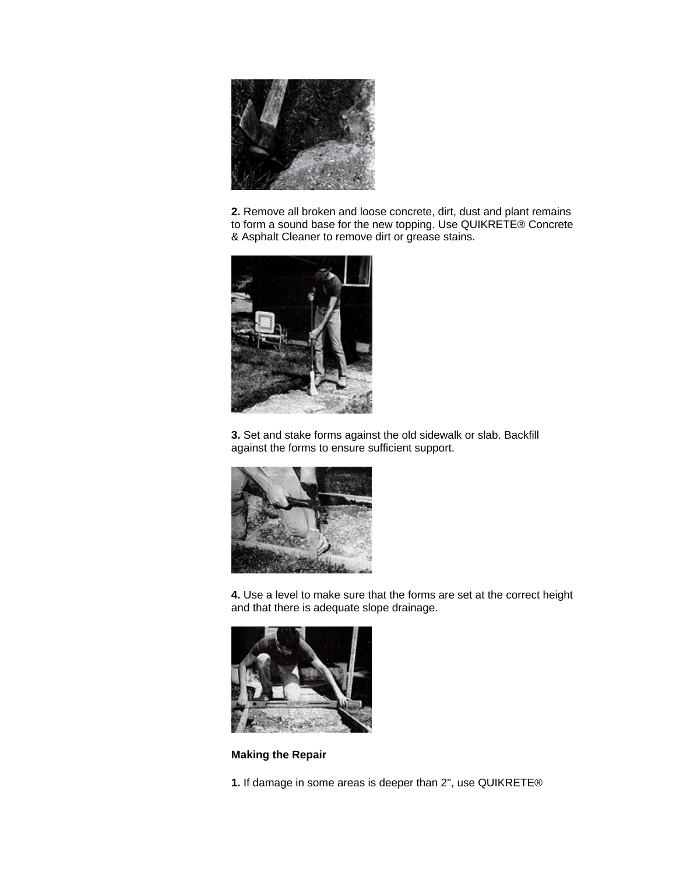

**2.** Remove all broken and loose concrete, dirt, dust and plant remains to form a sound base for the new topping. Use QUIKRETE® Concrete & Asphalt Cleaner to remove dirt or grease stains.



**3.** Set and stake forms against the old sidewalk or slab. Backfill against the forms to ensure sufficient support.



**4.** Use a level to make sure that the forms are set at the correct height and that there is adequate slope drainage.



**Making the Repair**

**1.** If damage in some areas is deeper than 2", use QUIKRETE®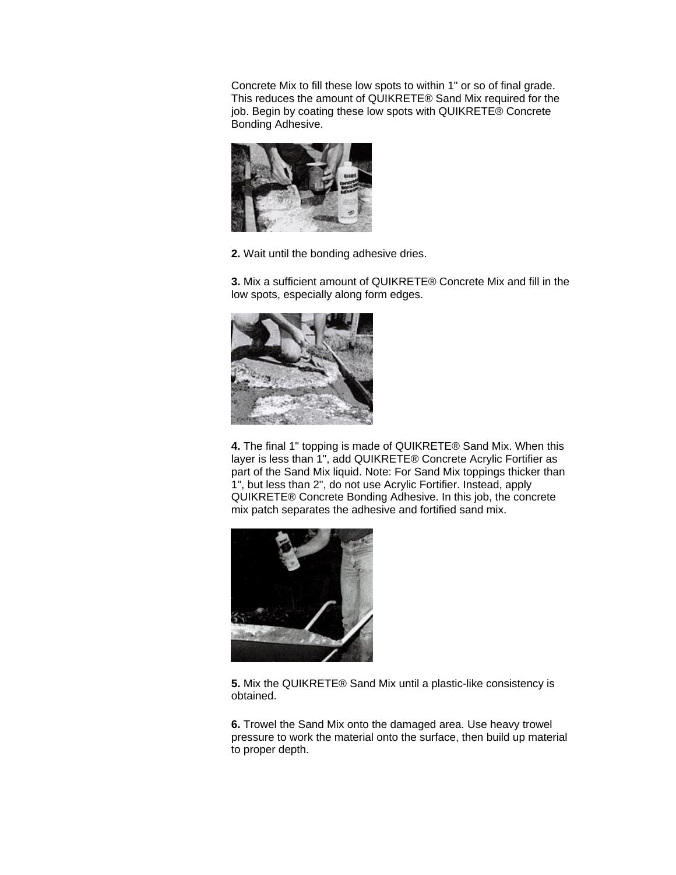Concrete Mix to fill these low spots to within 1" or so of final grade. This reduces the amount of QUIKRETE® Sand Mix required for the job. Begin by coating these low spots with QUIKRETE® Concrete Bonding Adhesive.



**2.** Wait until the bonding adhesive dries.

**3.** Mix a sufficient amount of QUIKRETE® Concrete Mix and fill in the low spots, especially along form edges.



**4.** The final 1" topping is made of QUIKRETE® Sand Mix. When this layer is less than 1", add QUIKRETE® Concrete Acrylic Fortifier as part of the Sand Mix liquid. Note: For Sand Mix toppings thicker than 1", but less than 2", do not use Acrylic Fortifier. Instead, apply QUIKRETE® Concrete Bonding Adhesive. In this job, the concrete mix patch separates the adhesive and fortified sand mix.



**5.** Mix the QUIKRETE® Sand Mix until a plastic-like consistency is obtained.

**6.** Trowel the Sand Mix onto the damaged area. Use heavy trowel pressure to work the material onto the surface, then build up material to proper depth.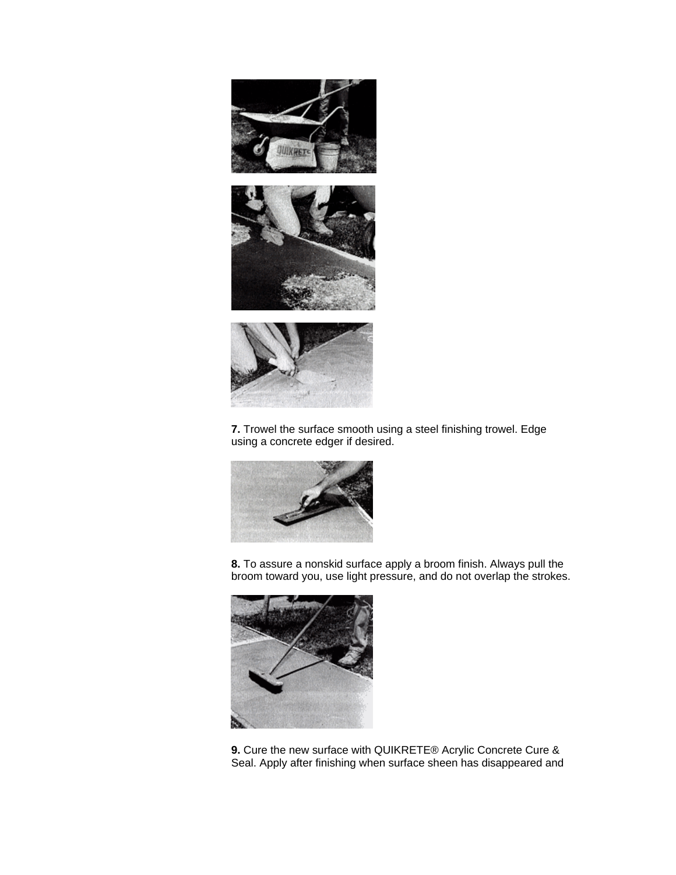

**7.** Trowel the surface smooth using a steel finishing trowel. Edge using a concrete edger if desired.



**8.** To assure a nonskid surface apply a broom finish. Always pull the broom toward you, use light pressure, and do not overlap the strokes.



**9.** Cure the new surface with QUIKRETE® Acrylic Concrete Cure & Seal. Apply after finishing when surface sheen has disappeared and